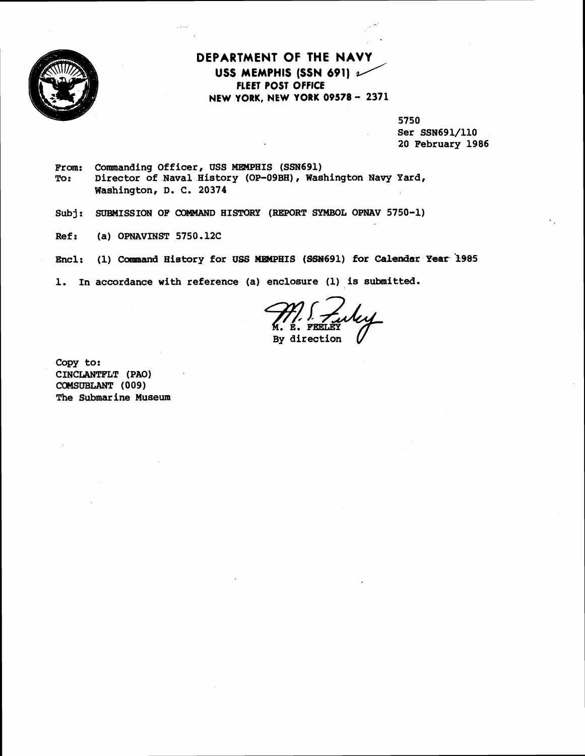

## **DEPARTMENT OF THE NAVY USS MEMPHIS (SSN 691)** 2/ **FLEET POST OFFICE NEW YORK, NEW YORK 09578** - **<sup>2371</sup>**

5750

Ser SSN691/110 20 February 1986

From: Commanding Officer, USS MEMPHIS (SSN691)<br>To: Director of Naval History (OP-09BH), Was Director of Naval History (OP-09BH), Washington Navy Yard, Washington, D. C. 20374

Subj: SUBMISSION OF COMMAND HISTORY (REPORT SYMBOL OPNAV 5750-1)

Ref: (a) OPNAVINST 5750.12C

Encl: (1) Canmand History for **USS** MEMPHIS (SSM691) **for Calendar Year 3985** 

1. In accordance with reference (a) enclosure (1) is submitted.

By direction

Copy to: CINCLANTPLT (PAO) COMSUBLANT ( 009 ) The Submarine Museum